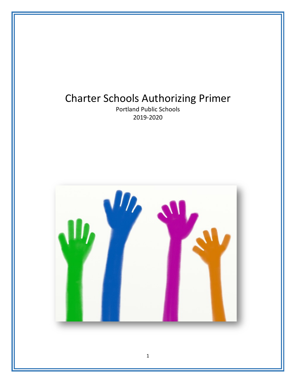# Charter Schools Authorizing Primer

Portland Public Schools 2019-2020

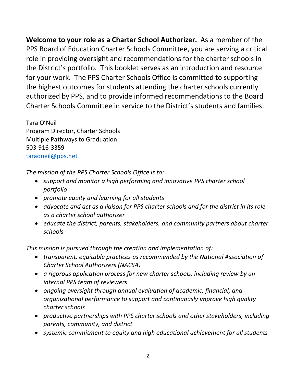**Welcome to your role as a Charter School Authorizer.** As a member of the PPS Board of Education Charter Schools Committee, you are serving a critical role in providing oversight and recommendations for the charter schools in the District's portfolio. This booklet serves as an introduction and resource for your work. The PPS Charter Schools Office is committed to supporting the highest outcomes for students attending the charter schools currently authorized by PPS, and to provide informed recommendations to the Board Charter Schools Committee in service to the District's students and families.

Tara O'Neil Program Director, Charter Schools Multiple Pathways to Graduation 503-916-3359 taraoneil@pps.net

*The mission of the PPS Charter Schools Office is to:* 

- *support and monitor a high performing and innovative PPS charter school portfolio*
- *promote equity and learning for all students*
- *advocate and act as a liaison for PPS charter schools and for the district in its role as a charter school authorizer*
- *educate the district, parents, stakeholders, and community partners about charter schools*

*This mission is pursued through the creation and implementation of:*

- *transparent, equitable practices as recommended by the National Association of Charter School Authorizers (NACSA)*
- *a rigorous application process for new charter schools, including review by an internal PPS team of reviewers*
- *ongoing oversight through annual evaluation of academic, financial, and organizational performance to support and continuously improve high quality charter schools*
- *productive partnerships with PPS charter schools and other stakeholders, including parents, community, and district*
- *systemic commitment to equity and high educational achievement for all students*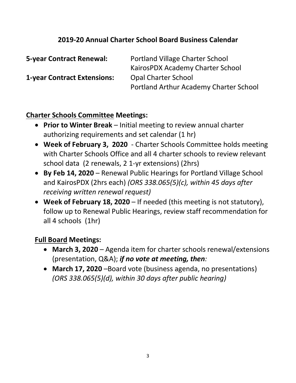## **2019-20 Annual Charter School Board Business Calendar**

| <b>5-year Contract Renewal:</b>    | Portland Village Charter School<br>KairosPDX Academy Charter School |
|------------------------------------|---------------------------------------------------------------------|
| <b>1-year Contract Extensions:</b> | <b>Opal Charter School</b>                                          |
|                                    | Portland Arthur Academy Charter School                              |

## **Charter Schools Committee Meetings:**

- **Prior to Winter Break**  Initial meeting to review annual charter authorizing requirements and set calendar (1 hr)
- **Week of February 3, 2020** Charter Schools Committee holds meeting with Charter Schools Office and all 4 charter schools to review relevant school data (2 renewals, 2 1-yr extensions) (2hrs)
- **By Feb 14, 2020** Renewal Public Hearings for Portland Village School and KairosPDX (2hrs each) *(ORS 338.065(5)(c), within 45 days after receiving written renewal request)*
- **Week of February 18, 2020** If needed (this meeting is not statutory), follow up to Renewal Public Hearings, review staff recommendation for all 4 schools (1hr)

## **Full Board Meetings:**

- **March 3, 2020** Agenda item for charter schools renewal/extensions (presentation, Q&A); *if no vote at meeting, then:*
- **March 17, 2020** –Board vote (business agenda, no presentations) *(ORS 338.065(5)(d), within 30 days after public hearing)*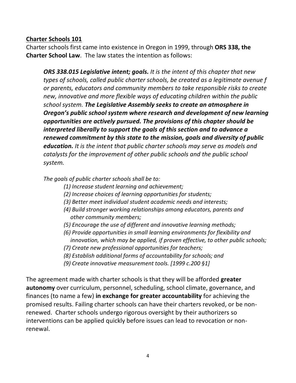### **Charter Schools 101**

Charter schools first came into existence in Oregon in 1999, through **ORS 338, the Charter School Law**. The law states the intention as follows:

*ORS 338.015 Legislative intent; goals. It is the intent of this chapter that new types of schools, called public charter schools, be created as a legitimate avenue f or parents, educators and community members to take responsible risks to create new, innovative and more flexible ways of educating children within the public school system. The Legislative Assembly seeks to create an atmosphere in Oregon's public school system where research and development of new learning opportunities are actively pursued. The provisions of this chapter should be interpreted liberally to support the goals of this section and to advance a renewed commitment by this state to the mission, goals and diversity of public education. It is the intent that public charter schools may serve as models and catalysts for the improvement of other public schools and the public school system.* 

*The goals of public charter schools shall be to:*

- *(1) Increase student learning and achievement;*
- *(2) Increase choices of learning opportunities for students;*
- *(3) Better meet individual student academic needs and interests;*
- *(4) Build stronger working relationships among educators, parents and other community members;*
- *(5) Encourage the use of different and innovative learning methods;*
- *(6) Provide opportunities in small learning environments for flexibility and innovation, which may be applied, if proven effective, to other public schools;*
- *(7) Create new professional opportunities for teachers;*
- *(8) Establish additional forms of accountability for schools; and*
- *(9) Create innovative measurement tools. [1999 c.200 §1]*

The agreement made with charter schools is that they will be afforded **greater autonomy** over curriculum, personnel, scheduling, school climate, governance, and finances (to name a few) **in exchange for greater accountability** for achieving the promised results. Failing charter schools can have their charters revoked, or be nonrenewed. Charter schools undergo rigorous oversight by their authorizers so interventions can be applied quickly before issues can lead to revocation or nonrenewal.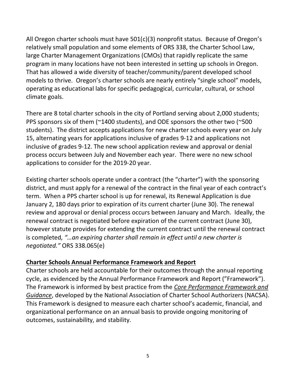All Oregon charter schools must have 501(c)(3) nonprofit status. Because of Oregon's relatively small population and some elements of ORS 338, the Charter School Law, large Charter Management Organizations (CMOs) that rapidly replicate the same program in many locations have not been interested in setting up schools in Oregon. That has allowed a wide diversity of teacher/community/parent developed school models to thrive. Oregon's charter schools are nearly entirely "single school" models, operating as educational labs for specific pedagogical, curricular, cultural, or school climate goals.

There are 8 total charter schools in the city of Portland serving about 2,000 students; PPS sponsors six of them (~1400 students), and ODE sponsors the other two (~500 students). The district accepts applications for new charter schools every year on July 15, alternating years for applications inclusive of grades 9-12 and applications not inclusive of grades 9-12. The new school application review and approval or denial process occurs between July and November each year. There were no new school applications to consider for the 2019-20 year.

Existing charter schools operate under a contract (the "charter") with the sponsoring district, and must apply for a renewal of the contract in the final year of each contract's term. When a PPS charter school is up for renewal, its Renewal Application is due January 2, 180 days prior to expiration of its current charter (June 30). The renewal review and approval or denial process occurs between January and March. Ideally, the renewal contract is negotiated before expiration of the current contract (June 30), however statute provides for extending the current contract until the renewal contract is completed*, "…an expiring charter shall remain in effect until a new charter is negotiated."* ORS 338.065(e)

### **Charter Schools Annual Performance Framework and Report**

Charter schools are held accountable for their outcomes through the annual reporting cycle, as evidenced by the Annual Performance Framework and Report ("Framework"). The Framework is informed by best practice from the *Core Performance Framework and Guidance*, developed by the National Association of Charter School Authorizers (NACSA). This Framework is designed to measure each charter school's academic, financial, and organizational performance on an annual basis to provide ongoing monitoring of outcomes, sustainability, and stability.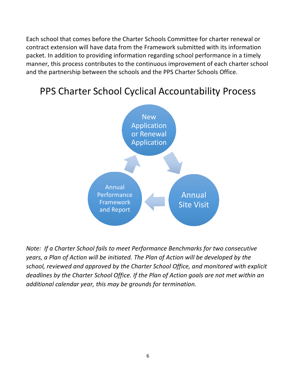Each school that comes before the Charter Schools Committee for charter renewal or contract extension will have data from the Framework submitted with its information packet. In addition to providing information regarding school performance in a timely manner, this process contributes to the continuous improvement of each charter school and the partnership between the schools and the PPS Charter Schools Office.

## PPS Charter School Cyclical Accountability Process



*Note: If a Charter School fails to meet Performance Benchmarks for two consecutive years, a Plan of Action will be initiated. The Plan of Action will be developed by the school, reviewed and approved by the Charter School Office, and monitored with explicit deadlines by the Charter School Office. If the Plan of Action goals are not met within an additional calendar year, this may be grounds for termination.*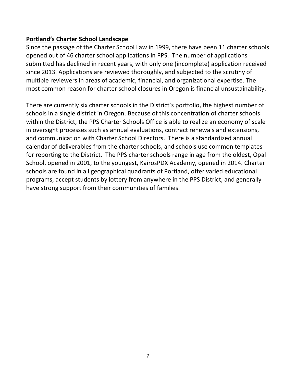### **Portland's Charter School Landscape**

Since the passage of the Charter School Law in 1999, there have been 11 charter schools opened out of 46 charter school applications in PPS. The number of applications submitted has declined in recent years, with only one (incomplete) application received since 2013. Applications are reviewed thoroughly, and subjected to the scrutiny of multiple reviewers in areas of academic, financial, and organizational expertise. The most common reason for charter school closures in Oregon is financial unsustainability.

There are currently six charter schools in the District's portfolio, the highest number of schools in a single district in Oregon. Because of this concentration of charter schools within the District, the PPS Charter Schools Office is able to realize an economy of scale in oversight processes such as annual evaluations, contract renewals and extensions, and communication with Charter School Directors. There is a standardized annual calendar of deliverables from the charter schools, and schools use common templates for reporting to the District. The PPS charter schools range in age from the oldest, Opal School, opened in 2001, to the youngest, KairosPDX Academy, opened in 2014. Charter schools are found in all geographical quadrants of Portland, offer varied educational programs, accept students by lottery from anywhere in the PPS District, and generally have strong support from their communities of families.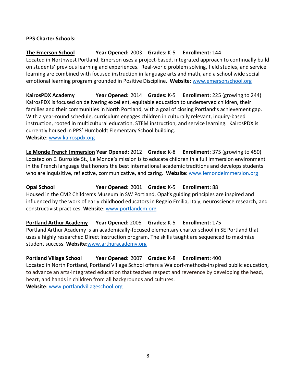#### **PPS Charter Schools:**

### **The Emerson School Year Opened:** 2003 **Grades:** K-5 **Enrollment:** 144 Located in Northwest Portland, Emerson uses a project-based, integrated approach to continually build on students' previous learning and experiences. Real-world problem solving, field studies, and service learning are combined with focused instruction in language arts and math, and a school wide social emotional learning program grounded in Positive Discipline. **Website**: www.emersonschool.org

**KairosPDX Academy Year Opened:** 2014 **Grades:** K-5 **Enrollment:** 225 (growing to 244) KairosPDX is focused on delivering excellent, equitable education to underserved children, their families and their communities in North Portland, with a goal of closing Portland's achievement gap. With a year-round schedule, curriculum engages children in culturally relevant, inquiry-based instruction, rooted in multicultural education, STEM instruction, and service learning. KairosPDX is currently housed in PPS' Humboldt Elementary School building. **Website**: www.kairospdx.org

**Le Monde French Immersion Year Opened:** 2012 **Grades:** K-8 **Enrollment:** 375 (growing to 450) Located on E. Burnside St., Le Monde's mission is to educate children in a full immersion environment in the French language that honors the best international academic traditions and develops students who are inquisitive, reflective, communicative, and caring. **Website**: www.lemondeimmersion.org

**Opal School Year Opened:** 2001 **Grades:** K-5 **Enrollment:** 88 Housed in the CM2 Children's Museum in SW Portland, Opal's guiding principles are inspired and influenced by the work of early childhood educators in Reggio Emilia, Italy, neuroscience research, and constructivist practices. **Website**: www.portlandcm.org

**Portland Arthur Academy Year Opened:** 2005 **Grades:** K-5 **Enrollment:** 175 Portland Arthur Academy is an academically-focused elementary charter school in SE Portland that uses a highly researched Direct Instruction program. The skills taught are sequenced to maximize student success. **Website**:www.arthuracademy.org

### **Portland Village School Year Opened:** 2007 **Grades:** K-8 **Enrollment:** 400

Located in North Portland, Portland Village School offers a Waldorf-methods-inspired public education, to advance an arts-integrated education that teaches respect and reverence by developing the head, heart, and hands in children from all backgrounds and cultures. **Website**: www.portlandvillageschool.org